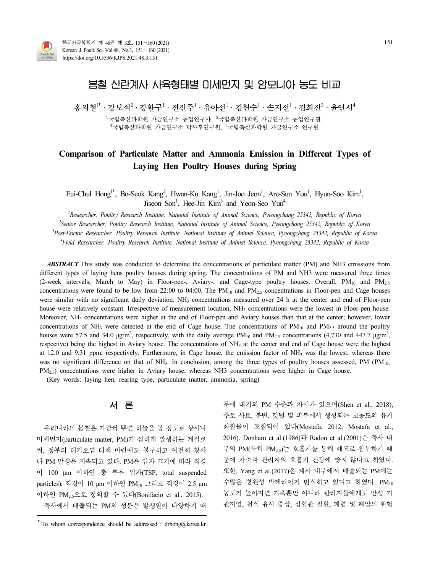

# 봄철 산란계사 사육형태별 미세먼지 및 암모니아 농도 비교

홍의철<sup>1†</sup>ㆍ강보석<sup>2</sup>ㆍ강화구<sup>1</sup>ㆍ전진주<sup>1</sup>ㆍ유아선<sup>1</sup>ㆍ김현수<sup>1</sup>ㆍ손지선<sup>1</sup>ㆍ김희진<sup>3</sup>ㆍ유연서<sup>4</sup>

 $1$ 국립축산과학원 가금연구소 농업연구사,  $2$ 국립축산과학원 가금연구소 농업연구관,  $3$ 국립축산과학원 가금연구소 박사후연구원,  $4$ 국립축산과학원 가금연구소 연구원

# **Comparison of Particulate Matter and Ammonia Emission in Different Types of Laying Hen Poultry Houses during Spring**

Eui-Chul Hong<sup>1†</sup>, Bo-Seok Kang<sup>2</sup>, Hwan-Ku Kang<sup>1</sup>, Jin-Joo Jeon<sup>1</sup>, Are-Sun You<sup>1</sup>, Hyun-Soo Kim<sup>1</sup>,<br>Jiseon Son<sup>1</sup>, Hee-Jin Kim<sup>3</sup> and Yeon-Seo Yun<sup>4</sup> Jiseon Son<sup>1</sup>, Hee-Jin Kim<sup>3</sup> and Yeon-Seo Yun<sup>4</sup>

*Researcher, Poultry Research Institute, National Institute of Animal Science, Pyeongchang 25342, Republic of Korea Senior Researcher, Poultry Research Institute, National Institute of Animal Science, Pyeongchang 25342, Republic of Korea Post-Doctor Researcher, Poultry Research Institute, National Institute of Animal Science, Pyeongchang 25342, Republic of Korea Field Researcher, Poultry Research Institute, National Institute of Animal Science, Pyeongchang 25342, Republic of Korea*

*ABSTRACT* This study was conducted to determine the concentrations of particulate matter (PM) and NH3 emissions from different types of laying hens poultry houses during spring. The concentrations of PM and NH3 were measured three times (2-week intervals; March to May) in Floor-pen-, Aviary-, and Cage-type poultry houses. Overall, PM<sub>10</sub> and PM<sub>2.5</sub> concentrations were found to be low from 22:00 to 04:00. The  $PM_{10}$  and  $PM_{2.5}$  concentrations in Floor-pen and Cage houses were similar with no significant daily deviation. NH<sub>3</sub> concentrations measured over 24 h at the center and end of Floor-pen house were relatively constant. Irrespective of measurement location, NH<sub>3</sub> concentrations were the lowest in Floor-pen house. Moreover, NH<sub>3</sub> concentrations were higher at the end of Floor-pen and Aviary houses than that at the center; however, lower concentrations of NH<sub>3</sub> were detected at the end of Cage house. The concentrations of  $PM_{10}$  and  $PM_{2.5}$  around the poultry houses were 57.5 and 34.0  $\mu$ g/m<sup>3</sup>, respectively, with the daily average PM<sub>10</sub> and PM<sub>2.5</sub> concentrations (4,730 and 447.7  $\mu$ g/m<sup>3</sup>, respective) being the highest in Aviary house. The concentrations of NH<sub>3</sub> at the center and end of Cage house were the highest at 12.0 and 9.31 ppm, respectively. Furthermore, in Cage house, the emission factor of  $NH_3$  was the lowest, whereas there was no significant difference on that of NH<sub>3</sub>. In conclusion, among the three types of poultry houses assessed, PM (PM<sub>10</sub>, PM<sub>2.5</sub>) concentrations were higher in Aviary house, whereas NH3 concentrations were higher in C

(Key words: laying hen, rearing type, particulate matter, ammonia, spring)

우리나라의 봄철은 가끔씩 뿌연 하늘을 볼 정도로 황사나 미세먼지(particulate matter, PM)가 심하게 발생하는 계절로 써, 정부의 대기오염 대책 마련에도 불구하고 여전히 황사 나 PM 발생은 지속되고 있다. PM은 입자 크기에 따라 직경 이 100 μm 이하인 총 부유 입자(TSP, total suspended particles), 직경이 10 μm 이하인 PM<sup>10</sup> 그리고 직경이 2.5 μm 이하인 PM2.5으로 정의할 수 있다(Bonifacio et al., 2015). 축사에서 배출되는 PM의 성분은 발생원이 다양하기 때

**서 론** 문에 대기의 PM 수준과 차이가 있으며(Shen et al., 2018), 주로 사료, 분변, 깃털 및 피부에서 생성되는 고농도의 유기 화합물이 포함되어 있다(Mostafa, 2012; Mostafa et al., 2016). Donham et al.(1986)과 Radon et al.(2001)은 축사 내 부의 PM(특히 PM2.5)는 호흡기를 통해 폐포로 침투하기 때 문에 가축과 관리자의 호흡기 건강에 좋지 않다고 하였다. 또한, Yang et al.(2017)은 계사 내부에서 배출되는 PM에는 수많은 병원성 박테리아가 번식하고 있다고 하였다. PM10 농도가 높아지면 가축뿐만 아니라 관리자들에게도 만성 기 관지염, 천식 유사 증상, 심혈관 질환, 폐렴 및 폐암의 위험

<sup>&</sup>lt;sup>†</sup>To whom correspondence should be addressed : drhong@korea.kr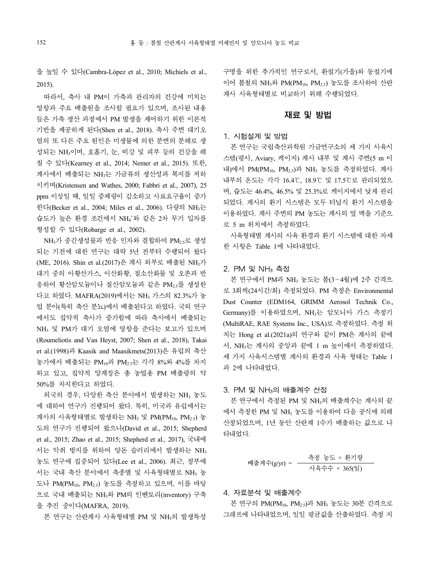을 높일 수 있다(Cambra-López et al., 2010; Michiels et al., 2015).

따라서, 축사 내 PM이 가축과 관리자의 건강에 미치는 영향과 주요 배출원을 조사할 필요가 있으며, 조사된 내용 들은 가축 생산 과정에서 PM 발생을 제어하기 위한 이론적 기반을 제공하게 된다(Shen et al., 2018). 축사 주변 대기오 염의 또 다른 주요 원인은 미생물에 의한 분변의 분해로 생 성되는 NH3이며, 호흡기, 눈, 비강 및 피부 등의 건강을 해 칠 수 있다(Kearney et al., 2014; Nemer et al., 2015). 또한, 계사에서 배출되는 NH3는 가금류의 생산성과 복지를 저하 시키며(Kristensen and Wathes, 2000; Fabbri et al., 2007), 25 ppm 이상일 때, 일일 증체량이 감소하고 사료요구율이 증가 한다(Becker et al., 2004; Miles et al., 2006). 다량의 NH<sub>3</sub>는 습도가 높은 환경 조건에서 NH4+와 같은 2차 무기 입자를 형성할 수 있다(Robarge et al., 2002).

NH3가 중간생성물과 반응 인자와 결합하여 PM2.5로 생성 되는 기전에 대한 연구는 대략 5년 전부터 수행되어 왔다 (ME, 2016). Shin et al.(2017)은 계사 외부로 배출된 NH3가 대기 중의 아황산가스, 이산화황, 질소산화물 및 오존과 반 응하여 황산암모늄이나 질산암모늄과 같은 PM<sub>2</sub>.를 생성한 다고 하였다. MAFRA(2019)에서는 NH<sup>3</sup> 가스의 82.3%가 농 업 분야(특히 축산 분뇨)에서 배출된다고 하였다. 국외 연구 에서도 집약적 축사가 증가함에 따라 축사에서 배출되는 NH<sub>3</sub> 및 PM가 대기 오염에 영향을 준다는 보고가 있으며 (Roumeliotis and Van Heyst, 2007; Shen et al., 2018), Takai et al.(1998)과 Kaasik and Maasikmets(2013)은 유럽의 축산 농가에서 배출되는 PM10과 PM2.5는 각각 8%와 4%를 차지 하고 있고, 집약적 양계장은 총 농업용 PM 배출량의 약 50%를 차지한다고 하였다.

외국의 경우, 다양한 축산 분야에서 발생하는 NH<sup>3</sup> 농도 에 대하여 연구가 진행되어 왔다. 특히, 미국과 유럽에서는 계사의 사육형태별로 발생하는 NH<sub>3</sub> 및 PM(PM<sub>10</sub>, PM<sub>2.5</sub>) 농 도의 연구가 진행되어 왔으나(David et al., 2015; Shepherd et al., 2015; Zhao et al., 2015; Shepherd et al., 2017), 국내에 서는 악취 방지를 위하여 양돈 슬러리에서 발생하는 NH3 농도 연구에 집중되어 있다(Lee et al., 2006). 최근, 정부에 서는 국내 축산 분야에서 축종별 및 사육형태별로 NH<sub>3</sub> 농 도나 PM(PM10, PM2.5) 농도를 측정하고 있으며, 이를 바탕 으로 국내 배출되는 NH3와 PM의 인벤토리(inventory) 구축 을 추진 중이다(MAFRA, 2019).

본 연구는 산란계사 사육형태별 PM 및 NH<sub>3</sub>의 발생특성

구명을 위한 추가적인 연구로서, 환절기(가을)와 동절기에 이어 봄철의 NH3와 PM(PM10, PM2.5) 농도를 조사하여 산란 계사 사육형태별로 비교하기 위해 수행되었다.

#### 재료 및 방법

## 1. 시험설계 및 방법

본 연구는 국립축산과학원 가금연구소의 세 가지 사육시 스템(평사, Aviary, 케이지) 계사 내부 및 계사 주변(5 m 이 내)에서 PM(PM10, PM2.5)과 NH<sup>3</sup> 농도를 측정하였다. 계사 내부의 온도는 각각 16.4℃, 18.9℃ 및 17.5℃로 관리되었으 며, 습도는 46.4%, 46.5% 및 25.3%로 케이지에서 낮게 관리 되었다. 계사의 환기 시스템은 모두 터널식 환기 시스템을 이용하였다. 계사 주변의 PM 농도는 계사의 옆 벽을 기준으 로 5 m 위치에서 측정하였다.

사육형태별 계사의 사육 환경과 환기 시스템에 대한 자세 한 사항은 Table 1에 나타내었다.

#### 2. PM 및 NH<sup>3</sup> 측정

본 연구에서 PM과 NH<sup>3</sup> 농도는 봄(3∼4월)에 2주 간격으 로 3회씩(24시간/회) 측정되었다. PM 측정은 Environmental Dust Counter (EDM164, GRIMM Aerosol Technik Co., Germany)를 이용하였으며, NH3는 암모니아 가스 측정기 (MultiRAE, RAE Systems Inc., USA)로 측정하였다. 측정 위 치는 Hong et al.(2021a)의 연구와 같이 PM은 계사의 끝에 서, NH<sub>3</sub>는 계사의 중앙과 끝에 1 m 높이에서 측정하였다. 세 가지 사육시스템별 계사의 환경과 사육 형태는 Table 1 과 2에 나타내었다.

### 3. PM 및 NH3의 배출계수 산정

본 연구에서 측정된 PM 및 NH3의 배출계수는 계사의 끝 에서 측정한 PM 및 NH<sup>3</sup> 농도를 이용하여 다음 공식에 의해 산정되었으며, 1년 동안 산란계 1수가 배출하는 값으로 나 타내었다.

배출계수(g/yr) = 측정 농도 <sup>×</sup>환기량 사육수수 × 365(일)

#### 4. 자료분석 및 배출계수

본 연구의 PM(PM10, PM2.5)과 NH<sup>3</sup> 농도는 30분 간격으로 그래프에 나타내었으며, 일일 평균값을 산출하였다. 측정 지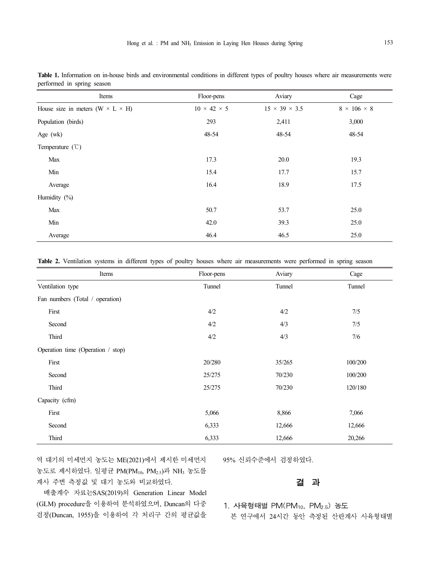| Items                                          | Floor-pens              | Aviary                    | Cage                    |
|------------------------------------------------|-------------------------|---------------------------|-------------------------|
| House size in meters ( $W \times L \times H$ ) | $10 \times 42 \times 5$ | $15 \times 39 \times 3.5$ | $8 \times 106 \times 8$ |
| Population (birds)                             | 293                     | 2,411                     | 3,000                   |
| Age (wk)                                       | 48-54                   | 48-54                     | 48-54                   |
| Temperature $(\mathcal{C})$                    |                         |                           |                         |
| Max                                            | 17.3                    | 20.0                      | 19.3                    |
| Min                                            | 15.4                    | 17.7                      | 15.7                    |
| Average                                        | 16.4                    | 18.9                      | 17.5                    |
| Humidity (%)                                   |                         |                           |                         |
| Max                                            | 50.7                    | 53.7                      | 25.0                    |
| Min                                            | 42.0                    | 39.3                      | 25.0                    |
| Average                                        | 46.4                    | 46.5                      | 25.0                    |

Table 1. Information on in-house birds and environmental conditions in different types of poultry houses where air measurements were performed in spring season

**Table 2.** Ventilation systems in different types of poultry houses where air measurements were performed in spring season

| Items                             | Floor-pens | Aviary | Cage    |
|-----------------------------------|------------|--------|---------|
| Ventilation type                  | Tunnel     | Tunnel | Tunnel  |
| Fan numbers (Total / operation)   |            |        |         |
| First                             | 4/2        | 4/2    | 7/5     |
| Second                            | 4/2        | 4/3    | 7/5     |
| Third                             | 4/2        | 4/3    | 7/6     |
| Operation time (Operation / stop) |            |        |         |
| First                             | 20/280     | 35/265 | 100/200 |
| Second                            | 25/275     | 70/230 | 100/200 |
| Third                             | 25/275     | 70/230 | 120/180 |
| Capacity (cfm)                    |            |        |         |
| First                             | 5,066      | 8,866  | 7,066   |
| Second                            | 6,333      | 12,666 | 12,666  |
| Third                             | 6,333      | 12,666 | 20,266  |

역 대기의 미세먼지 농도는 ME(2021)에서 제시한 미세먼지 농도로 제시하였다. 일평균 PM(PM10, PM2.5)과 NH3 농도를 계사 주변 측정값 및 대기 농도와 비교하였다.

95% 신뢰수준에서 검정하였다.

# 결 과

배출계수 자료는SAS(2019)의 Generation Linear Model (GLM) procedure을 이용하여 분석하였으며, Duncan의 다중 검정(Duncan, 1955)을 이용하여 각 처리구 간의 평균값을

1. 사육형태별 PM(PM<sub>10</sub>, PM<sub>2.5</sub>) 농도

본 연구에서 24시간 동안 측정된 산란계사 사육형태별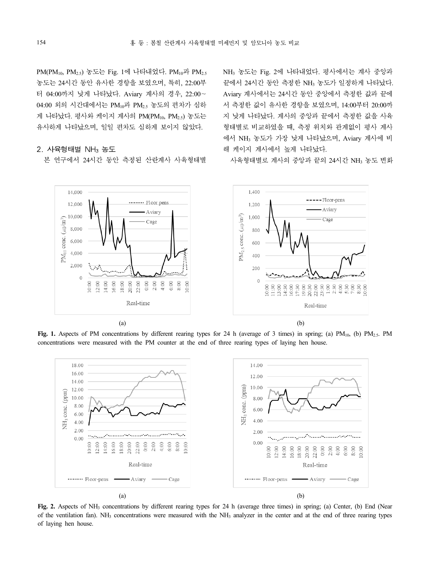PM(PM10, PM2.5) 농도는 Fig. 1에 나타내었다. PM10과 PM2.5 터 04:00까지 낮게 나타났다. Aviary 계사의 경우, 22:00∼ 04:00 외의 시간대에서는 PM10과 PM2.5 농도의 편차가 심하 게 나타났다. 평사와 케이지 계사의 PM(PM $_{10}$ , PM<sub>25</sub>) 농도는 유사하게 나타났으며, 일일 편차도 심하게 보이지 않았다.

## $2.$  사육형태별 NH<sub>3</sub> 농도

본 연구에서 24시간 동안 측정된 산란계사 사육형태별

농도는 24시간 동안 유사한 경향을 보였으며, 특히, 22:00부 NH<sup>3</sup> 농도는 Fig. 2에 나타내었다. 평사에서는 계사 중앙과 Aviary 계사에서는 24시간 동안 중앙에서 측정한 값과 끝에 서 측정한 값이 유사한 경향을 보였으며, 14:00부터 20:00까 지 낮게 나타났다. 계사의 중앙과 끝에서 측정한 값을 사육 형태별로 비교하였을 때, 측정 위치와 관계없이 평사 계사 에서 NH<sup>3</sup> 농도가 가장 낮게 나타났으며, Aviary 계사에 비 해 케이지 계사에서 높게 나타났다.

사육형태별로 계사의 중앙과 끝의 24시간 NH<sup>3</sup> 농도 변화



Fig. 1. Aspects of PM concentrations by different rearing types for 24 h (average of 3 times) in spring; (a) PM<sub>10</sub>, (b) PM<sub>2.5</sub>. PM concentrations were measured with the PM counter at the end of three rearing types of laying hen house.



Fig. 2. Aspects of NH<sub>3</sub> concentrations by different rearing types for 24 h (average three times) in spring; (a) Center, (b) End (Near of the ventilation fan). NH<sup>3</sup> concentrations were measured with the NH<sup>3</sup> analyzer in the center and at the end of three rearing types of laying hen house.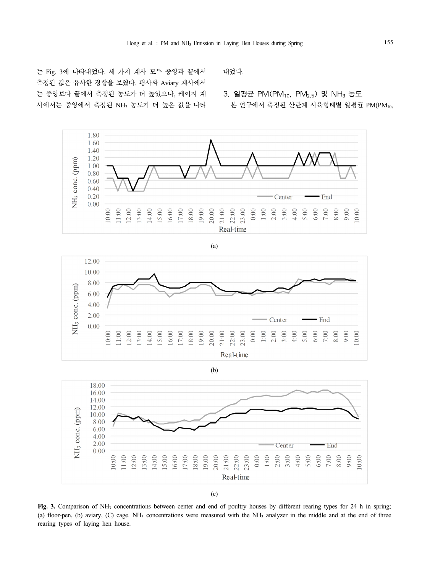는 Fig. 3에 나타내었다. 세 가지 계사 모두 중앙과 끝에서 측정된 값은 유사한 경향을 보였다. 평사와 Aviary 계사에서 는 중앙보다 끝에서 측정된 농도가 더 높았으나, 케이지 계 사에서는 중앙에서 측정된 NH<sup>3</sup> 농도가 더 높은 값을 나타 내었다.

3. 일평균 PM(PM<sub>10</sub>, PM<sub>2.5</sub>) 및 NH<sub>3</sub> 농도 본 연구에서 측정된 산란계 사육형태별 일평균 PM(PM10,



12.00 10.00 8.00 NH<sub>3</sub> conc. (ppm) 6.00  $4.00$  $2.00$ · End Center  $0.00$  $10:00$  $16:00$  $18:00$ 19:00  $20:00$  $21:00$  $22:00$ 23:00  $0:00$  $1:00$  $2:00$  $3:00$  $4:00$ 5:00  $6:00$  $7:00$  $1:00$  $13:00$ 14:00  $5:00$ 17:00  $9:00$  $0:00$  $12:00$  $8:00$ Real-time

(a)

(b)



(c)

**Fig. 3.** Comparison of NH<sup>3</sup> concentrations between center and end of poultry houses by different rearing types for 24 h in spring; (a) floor-pen, (b) aviary, (C) cage. NH<sub>3</sub> concentrations were measured with the NH<sub>3</sub> analyzer in the middle and at the end of three rearing types of laying hen house.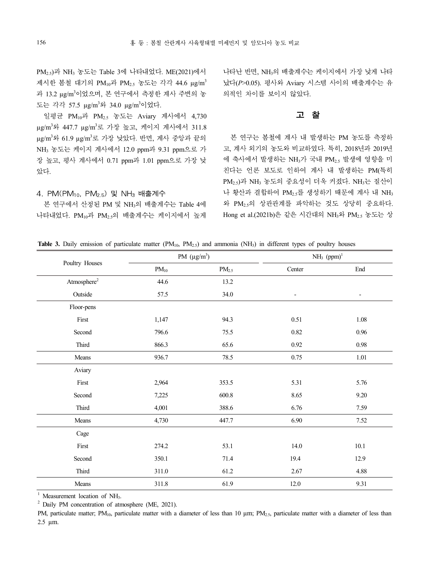PM2.5)과 NH<sup>3</sup> 농도는 Table 3에 나타내었다. ME(2021)에서 제시한 봄철 대기의 PM<sub>10</sub>과 PM<sub>2.5</sub> 농도는 각각 44.6 μg/m<sup>3</sup> 과 13.2 µg/m<sup>3</sup>이었으며, 본 연구에서 측정한 계사 주변의 농 도는 각각 57.5 µg/m<sup>3</sup>와 34.0 µg/m<sup>3</sup>이었다.

일평균 PM10과 PM2.5 농도는 Aviary 계사에서 4,730 µg/m<sup>3</sup>와 447.7 µg/m<sup>3</sup>로 가장 높고, 케이지 계사에서 311.8 µg/m<sup>3</sup>와 61.9 µg/m<sup>3</sup>로 가장 낮았다. 반면, 계사 중앙과 끝의 NH<sup>3</sup> 농도는 케이지 계사에서 12.0 ppm과 9.31 ppm으로 가 장 높고, 평사 계사에서 0.71 ppm과 1.01 ppm으로 가장 낮 았다.

### 4. PM(PM10, PM2.5) 및 NH<sup>3</sup> 배출계수

나타내었다. PM10과 PM2.5의 배출계수는 케이지에서 높게

나타난 반면, NH3의 배출계수는 케이지에서 가장 낮게 나타 났다(*P*>0.05). 평사와 Aviary 시스템 사이의 배출계수는 유 의적인 차이를 보이지 않았다.

## 고 찰

본 연구에서 산정된 PM 및 NH3의 배출계수는 Table 4에 위 PM2.5의 상관관계를 파악하는 것도 상당히 중요하다. 본 연구는 봄철에 계사 내 발생하는 PM 농도를 측정하 고, 계사 외기의 농도와 비교하였다. 특히, 2018년과 2019년 에 축사에서 발생하는 NH3가 국내 PM2.5 발생에 영향을 미 친다는 언론 보도로 인하여 계사 내 발생하는 PM(특히 PM2.5)과 NH<sup>3</sup> 농도의 중요성이 더욱 커졌다. NH3는 질산이 나 황산과 결합하여 PM<sub>2</sub>,를 생성하기 때문에 계사 내 NH<sub>3</sub> Hong et al.(2021b)은 같은 시간대의 NH<sub>3</sub>와 PM<sub>2.5</sub> 농도는 상

|  | <b>Table 3.</b> Daily emission of particulate matter ( $PM_{10}$ , $PM_{2.5}$ ) and ammonia ( $NH_3$ ) in different types of poultry houses |  |  |
|--|---------------------------------------------------------------------------------------------------------------------------------------------|--|--|
|--|---------------------------------------------------------------------------------------------------------------------------------------------|--|--|

| Poultry Houses          |           | PM $(\mu g/m^3)$  | $NH3$ (ppm) <sup>1</sup> |          |
|-------------------------|-----------|-------------------|--------------------------|----------|
|                         | $PM_{10}$ | PM <sub>2.5</sub> | Center                   | End      |
| Atmosphere <sup>2</sup> | 44.6      | 13.2              |                          |          |
| Outside                 | 57.5      | 34.0              | $\overline{\phantom{a}}$ | -        |
| Floor-pens              |           |                   |                          |          |
| First                   | 1,147     | 94.3              | $0.51\,$                 | $1.08\,$ |
| Second                  | 796.6     | 75.5              | $0.82\,$                 | 0.96     |
| Third                   | 866.3     | 65.6              | 0.92                     | 0.98     |
| Means                   | 936.7     | 78.5              | 0.75                     | $1.01\,$ |
| Aviary                  |           |                   |                          |          |
| First                   | 2,964     | 353.5             | 5.31                     | 5.76     |
| Second                  | 7,225     | 600.8             | 8.65                     | 9.20     |
| Third                   | 4,001     | 388.6             | 6.76                     | 7.59     |
| Means                   | 4,730     | 447.7             | 6.90                     | 7.52     |
| Cage                    |           |                   |                          |          |
| First                   | 274.2     | 53.1              | 14.0                     | 10.1     |
| Second                  | 350.1     | 71.4              | 19.4                     | 12.9     |
| Third                   | 311.0     | 61.2              | 2.67                     | 4.88     |
| Means                   | 311.8     | 61.9              | 12.0                     | 9.31     |

 $1$  Measurement location of NH<sub>3</sub>.

<sup>2</sup> Daily PM concentration of atmosphere (ME, 2021).

PM, particulate matter; PM<sub>10</sub>, particulate matter with a diameter of less than 10  $\mu$ m; PM<sub>2.5</sub>, particulate matter with a diameter of less than 2.5 µm.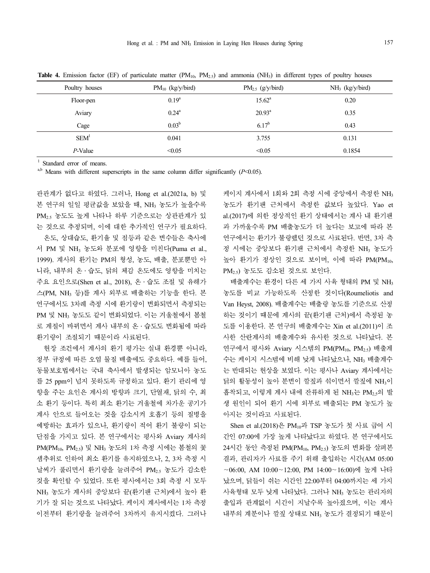| Poultry houses   | $PM_{10}$ (kg/y/bird) | $PM_{2.5}$ (g/y/bird) | $NH3$ (kg/y/bird) |
|------------------|-----------------------|-----------------------|-------------------|
| Floor-pen        | $0.19^{a}$            | $15.62^{\circ}$       | 0.20              |
| Aviary           | $0.24^{\rm a}$        | $20.93^{\text{a}}$    | 0.35              |
| Cage             | $0.03^{b}$            | $6.17^{b}$            | 0.43              |
| SEM <sup>1</sup> | 0.041                 | 3.755                 | 0.131             |
| $P$ -Value       | < 0.05                | < 0.05                | 0.1854            |

Table 4. Emission factor (EF) of particulate matter (PM<sub>10</sub>, PM<sub>2.5</sub>) and ammonia (NH<sub>3</sub>) in different types of poultry houses

Standard error of means.

 $a$ ,b Means with different superscripts in the same column differ significantly ( $P$  < 0.05).

관관계가 없다고 하였다. 그러나, Hong et al.(2021a, b) 및 본 연구의 일일 평균값을 보았을 때, NH<sup>3</sup> 농도가 높을수록 PM2.5 농도도 높게 나타나 하루 기준으로는 상관관계가 있 는 것으로 추정되며, 이에 대한 추가적인 연구가 필요하다.

온도, 상대습도, 환기율 및 점등과 같은 변수들은 축사에 서 PM 및 NH<sup>3</sup> 농도와 분포에 영향을 미친다(Puma et al., 1999). 계사의 환기는 PM의 형성, 농도, 배출, 분포뿐만 아 니라, 내부의 온 · 습도, 닭의 체감 온도에도 영향을 미치는 PM2.5) 농도도 감소된 것으로 보인다. 주요 요인으로(Shen et al., 2018), 온․습도 조절 및 유해가 스(PM, NH<sup>3</sup> 등)를 계사 외부로 배출하는 기능을 한다. 본 연구에서도 3차례 측정 시에 환기량이 변화되면서 측정되는 PM 및 NH<sup>3</sup> 농도도 같이 변화되었다. 이는 겨울철에서 봄철 로 계절이 바뀌면서 계사 내부의 온․습도도 변화됨에 따라 환기량이 조절되기 때문이라 사료된다.

현장 조건에서 계사의 환기 평가는 실내 환경뿐 아니라, 정부 규정에 따른 오염 물질 배출에도 중요하다. 예를 들어, 동물보호법에서는 국내 축사에서 발생되는 암모니아 농도 를 25 ppm이 넘지 못하도록 규정하고 있다. 환기 관리에 영 향을 주는 요인은 계사의 방향과 크기, 단열재, 닭의 수, 최 소 환기 등이다. 특히 최소 환기는 겨울철에 차가운 공기가 계사 안으로 들어오는 것을 감소시켜 호흡기 등의 질병을 예방하는 효과가 있으나, 환기량이 적어 환기 불량이 되는 단점을 가지고 있다. 본 연구에서는 평사와 Aviary 계사의 PM(PM10, PM2.5) 및 NH<sup>3</sup> 농도의 1차 측정 시에는 봄철의 꽃 샘추위로 인하여 최소 환기를 유지하였으나, 2, 3차 측정 시 날씨가 풀리면서 환기량을 늘려주어 PM2.5 농도가 감소한 것을 확인할 수 있었다. 또한 평사에서는 3회 측정 시 모두 NH<sup>3</sup> 농도가 계사의 중앙보다 끝(환기팬 근처)에서 높아 환 기가 잘 되는 것으로 나타났다. 케이지 계사에서는 1차 측정 이전부터 환기량을 늘려주어 3차까지 유지시켰다. 그러나

케이지 계사에서 1회와 2회 측정 시에 중앙에서 측정한 NH<sub>3</sub> 농도가 환기팬 근처에서 측정한 값보다 높았다. Yao et al.(2017)에 의한 정상적인 환기 상태에서는 계사 내 환기팬 과 가까울수록 PM 배출농도가 더 높다는 보고에 따라 본 연구에서는 환기가 불량했던 것으로 사료된다. 반면, 3차 측 정 시에는 중앙보다 환기팬 근처에서 측정한 NH<sup>3</sup> 농도가 높아 환기가 정상인 것으로 보이며, 이에 따라 PM(PM10,

배출계수는 환경이 다른 세 가지 사육 형태의 PM 및 NH<sup>3</sup> 농도를 비교 가능하도록 산정한 것이다(Roumeliotis and Van Heyst, 2008). 배출계수는 배출량 농도를 기준으로 산정 하는 것이기 때문에 계사의 끝(환기팬 근처)에서 측정된 농 도를 이용한다. 본 연구의 배출계수는 Xin et al.(2011)이 조 사한 산란계사의 배출계수와 유사한 것으로 나타났다. 본 연구에서 평사와 Aviary 시스템의 PM(PM<sub>10</sub>, PM<sub>2.5</sub>) 배출계 수는 케이지 시스템에 비해 낮게 나타났으나, NH<sup>3</sup> 배출계수 는 반대되는 현상을 보였다. 이는 평사나 Aviary 계사에서는 닭의 활동성이 높아 분변이 깔짚과 섞이면서 깔짚에 NH3이 흡착되고, 이렇게 계사 내에 잔류하게 된 NH<sub>3</sub>는 PM<sub>2 5</sub>의 발 생 원인이 되어 환기 시에 외부로 배출되는 PM 농도가 높 아지는 것이라고 사료된다.

Shen et al.(2018)은 PM10과 TSP 농도가 첫 사료 급여 시 간인 07:00에 가장 높게 나타났다고 하였다. 본 연구에서도 24시간 동안 측정된 PM(PM<sub>10</sub>, PM<sub>2.5</sub>) 농도의 변화를 살펴본 결과, 관리자가 사료를 주기 위해 출입하는 시간(AM 05:00 ∼06:00, AM 10:00∼12:00, PM 14:00∼16:00)에 높게 나타 났으며, 닭들이 쉬는 시간인 22:00부터 04:00까지는 세 가지 사육형태 모두 낮게 나타났다. 그러나 NH<sup>3</sup> 농도는 관리자의 출입과 관계없이 시간이 지날수록 높아졌으며, 이는 계사 내부의 계분이나 깔짚 상태로 NH<sup>3</sup> 농도가 결정되기 때문이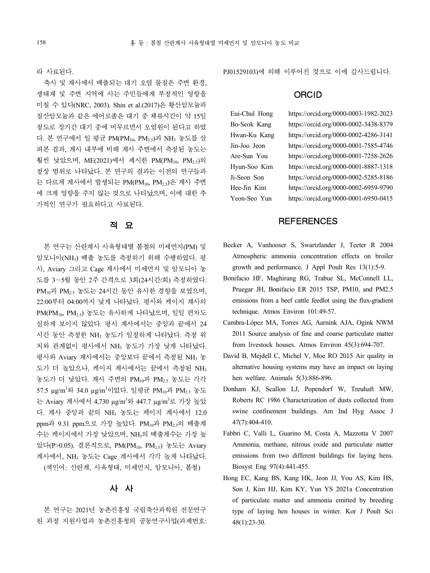라 사료된다.

축사 및 계사에서 배출되는 대기 오염 물질은 주변 환경, 생태계 및 주변 지역에 사는 주민들에게 부정적인 영향을 미칠 수 있다(NRC, 2003). Shin et al.(2017)은 황산암모늄과 질산암모늄과 같은 에어로졸은 대기 중 체류시간이 약 15일 정도로 장기간 대기 중에 머무르면서 오염원이 된다고 하였 다. 본 연구에서 일 평균 PM(PM<sub>10</sub>, PM<sub>2.5</sub>)과 NH<sub>3</sub> 농도를 살 Hwan-Ku Kang<br>공부 결과 행사 방법생 행상 중앙상상 홍강되 노드노 - Jin-Joo Jeon 펴본 결과, 계사 내부에 비해 계사 주변에서 측정된 농도는 Tim-Joo Jeon<br>- 기자 : Hotel All Articles All Articles are accepted to Are-Sun You 훨씬 낮았으며, ME(2021)에서 제시한 PM(PM<sub>10</sub>, PM<sub>2.5</sub>)의 Ale-Sun rou<br>기사 있어도 시스니 시스니 이 기자 시스니 시스니 시스트 Alexander Hyun-Soo Kim 정상 범위로 나타났다. 본 연구의 결과는 이전의 연구들과 는 다르게 계사에서 발생되는 PM(PM10, PM2.5)은 계사 주변 에 크게 영향을 주지 않는 것으로 나타났으며, 이에 대한 추 가적인 연구가 필요하다고 사료된다.

# 적 요

본 연구는 산란계사 사육형태별 봄철의 미세먼지(PM) 및 암모니아(NH3) 배출 농도를 측정하기 위해 수행하였다. 평 사, Aviary 그리고 Cage 계사에서 미세먼지 및 암모니아 농 도를 3∼5월 동안 2주 간격으로 3회(24시간/회) 측정하였다.<br>PM<sub>10</sub>과 PM<sub>2.5</sub> 농도는 24시간 동안 유사한 경향을 보였으며,<br>22:00부터 04:00까지 낮게 나타났다. 평사와 케이지 계사의 PM(PM10, PM2.5) 농도는 유사하게 나타났으며, 일일 편차도 심하게 보이지 않았다. 평사 계사에서는 중앙과 끝에서 24 시간 동안 측정한 NH<sup>3</sup> 농도가 일정하게 나타났다. 측정 위 치와 관계없이 평사에서 NH3 농도가 가장 낮게 나타났다. 평사와 Aviary 계사에서는 중앙보다 끝에서 측정된 NH3 농 도가 더 높았으나, 케이지 계사에서는 끝에서 측정된 NH<sup>3</sup> 농도가 더 낮았다. 계사 주변의 PM10과 PM2.5 농도는 각각 57.5 μg/m<sup>3</sup>와 34.0 μg/m<sup>3</sup>이었다. 일평균 PM<sub>10</sub>과 PM<sub>2.5</sub> 농도 는 Aviary 계사에서 4,730 μg/m<sup>3</sup>와 447.7 μg/m<sup>3</sup>로 가장 높았 다. 계사 중앙과 끝의 NH<sup>3</sup> 농도는 케이지 계사에서 12.0 ppm과 9.31 ppm으로 가장 높았다. PM10과 PM2.5의 배출계 수는 케이지에서 가장 낮았으며, NH3의 배출계수는 가장 높 았다(P>0.05). 결론적으로, PM(PM10, PM2.5) 농도는 Aviary 계사에서, NH3 농도는 Cage 계사에서 각각 높게 나타났다. (색인어: 산란계, 사육형태, 미세먼지, 암모니아, 봄철)

본 연구는 2021년 농촌진흥청 국립축산과학원 전문연구 원 과정 지원사업과 농촌진흥청의 공동연구사업(과제번호: PJ01529103)에 의해 이루어진 것으로 이에 감사드립니다.

# **ORCID**

https://orcid.org/0000-0003-1982-2023 https://orcid.org/0000-0002-3438-8379 https://orcid.org/0000-0002-4286-3141 https://orcid.org/0000-0001-7585-4746 https://orcid.org/0000-0001-7258-2626 https://orcid.org/0000-0001-8887-1318 https://orcid.org/0000-0002-5285-8186 https://orcid.org/0000-0002-6959-9790 https://orcid.org/0000-0001-6950-0415

## **REFERENCES**

- Becker A, Vanhooser S, Swartzlander J, Teeter R 2004 Atmospheric ammonia concentration effects on broiler growth and performance. J Appl Poult Res 13(1):5-9.
- Bonifacio HF, Maghirang RG, Trabue SL, McConnell LL, Pruegar JH, Bonifacio ER 2015 TSP, PM10, and PM2.5 emissions from a beef cattle feedlot using the flux-gradient technique. Atmos Environ 101:49-57.
- Cambra-López MA, Torres AG, Aarnink AJA, Ogink NWM 2011 Source analysis of fine and coarse particulate matter from livestock houses. Atmos Environ 45(3):694-707.
- David B, Mejdell C, Michel V, Moe RO 2015 Air quality in alternative housing systems may have an impact on laying hen welfare. Animals 5(3):886-896.
- Donham KJ, Scallon LJ, Popendorf W, Treuhaft MW, Roberts RC 1986 Characterization of dusts collected from swine confinement buildings. Am Ind Hyg Assoc J 47(7):404-410.
- Fabbri C, Valli L, Guarino M, Costa A, Mazzotta V 2007 Ammonia, methane, nitrous oxide and particulate matter emissions from two different buildings for laying hens. Biosyst Eng 97(4):441-455.
- 사 사 Son J, Kim HJ, Kim KY, Yun YS 2021a Concentration Hong EC, Kang BS, Kang HK, Jeon JJ, You AS, Kim HS, of particulate matter and ammonia emitted by breeding type of laying hen houses in winter. Kor J Poult Sci 48(1):23-30.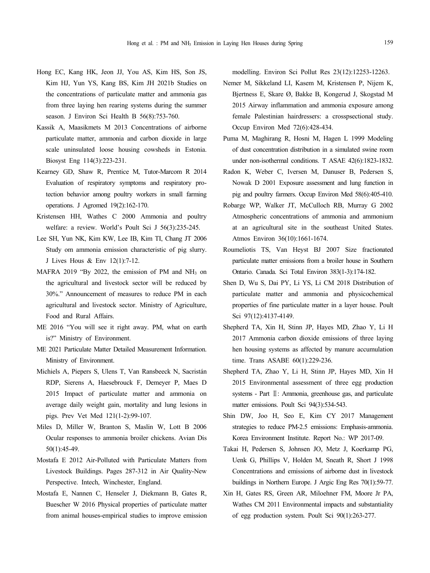- Hong EC, Kang HK, Jeon JJ, You AS, Kim HS, Son JS, Kim HJ, Yun YS, Kang BS, Kim JH 2021b Studies on the concentrations of particulate matter and ammonia gas from three laying hen rearing systems during the summer season. J Environ Sci Health B 56(8):753-760.
- Kassik A, Maasikmets M 2013 Concentrations of airborne particulate matter, ammonia and carbon dioxide in large scale uninsulated loose housing cowsheds in Estonia. Biosyst Eng 114(3):223-231.
- Kearney GD, Shaw R, Prentice M, Tutor-Marcom R 2014 Evaluation of respiratory symptoms and respiratory protection behavior among poultry workers in small farming operations. J Agromed 19(2):162-170.
- Kristensen HH, Wathes C 2000 Ammonia and poultry welfare: a review. World's Poult Sci J 56(3):235-245.
- Lee SH, Yun NK, Kim KW, Lee IB, Kim TI, Chang JT 2006 Study om ammonia emission characteristic of pig slurry. J Lives Hous & Env 12(1):7-12.
- MAFRA 2019 "By 2022, the emission of PM and NH<sub>3</sub> on the agricultural and livestock sector will be reduced by 30%." Announcement of measures to reduce PM in each agricultural and livestock sector. Ministry of Agriculture, Food and Rural Affairs.
- ME 2016 "You will see it right away. PM, what on earth is?" Ministry of Environment.
- ME 2021 Particulate Matter Detailed Measurement Information. Ministry of Environment.
- Michiels A, Piepers S, Ulens T, Van Ransbeeck N, Sacristán RDP, Sierens A, Haesebrouck F, Demeyer P, Maes D 2015 Impact of particulate matter and ammonia on average daily weight gain, mortality and lung lesions in pigs. Prev Vet Med 121(1-2):99-107.
- Miles D, Miller W, Branton S, Maslin W, Lott B 2006 Ocular responses to ammonia broiler chickens. Avian Dis 50(1):45-49.
- Mostafa E 2012 Air-Polluted with Particulate Matters from Livestock Buildings. Pages 287-312 in Air Quality-New Perspective. Intech, Winchester, England.
- Mostafa E, Nannen C, Henseler J, Diekmann B, Gates R, Buescher W 2016 Physical properties of particulate matter from animal houses-empirical studies to improve emission

modelling. Environ Sci Pollut Res 23(12):12253-12263.

- Nemer M, Sikkeland LI, Kasem M, Kristensen P, Nijem K, Bjertness E, Skare Ø, Bakke B, Kongerud J, Skogstad M 2015 Airway inflammation and ammonia exposure among female Palestinian hairdressers: a crosspsectional study. Occup Environ Med 72(6):428-434.
- Puma M, Maghirang R, Hosni M, Hagen L 1999 Modeling of dust concentration distribution in a simulated swine room under non-isothermal conditions. T ASAE 42(6):1823-1832.
- Radon K, Weber C, Iversen M, Danuser B, Pedersen S, Nowak D 2001 Exposure assessment and lung function in pig and poultry farmers. Occup Environ Med 58(6):405-410.
- Robarge WP, Walker JT, McCulloch RB, Murray G 2002 Atmospheric concentrations of ammonia and ammonium at an agricultural site in the southeast United States. Atmos Environ 36(10):1661-1674.
- Roumeliotis TS, Van Heyst BJ 2007 Size fractionated particulate matter emissions from a broiler house in Southern Ontario. Canada. Sci Total Environ 383(1-3):174-182.
- Shen D, Wu S, Dai PY, Li YS, Li CM 2018 Distribution of particulate matter and ammonia and physicochemical properties of fine particulate matter in a layer house. Poult Sci 97(12):4137-4149.
- Shepherd TA, Xin H, Stinn JP, Hayes MD, Zhao Y, Li H 2017 Ammonia carbon dioxide emissions of three laying hen housing systems as affected by manure accumulation time. Trans ASABE 60(1):229-236.
- Shepherd TA, Zhao Y, Li H, Stinn JP, Hayes MD, Xin H 2015 Environmental assessment of three egg production systems - Part Ⅱ: Ammonia, greenhouse gas, and particulate matter emissions. Poult Sci 94(3):534-543.
- Shin DW, Joo H, Seo E, Kim CY 2017 Management strategies to reduce PM-2.5 emissions: Emphasis-ammonia. Korea Environment Institute. Report No.: WP 2017-09.
- Takai H, Pedersen S, Johnsen JO, Metz J, Koerkamp PG, Uenk G, Phillips V, Holden M, Sneath R, Short J 1998 Concentrations and emissions of airborne dust in livestock buildings in Northern Europe. J Argic Eng Res 70(1):59-77.
- Xin H, Gates RS, Green AR, Miloehner FM, Moore Jr PA, Wathes CM 2011 Environmental impacts and substantiality of egg production system. Poult Sci 90(1):263-277.